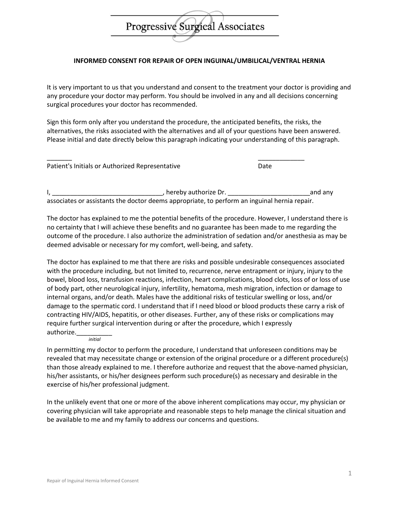## Progressive Surgical Associates

## **INFORMED CONSENT FOR REPAIR OF OPEN INGUINAL/UMBILICAL/VENTRAL HERNIA**

It is very important to us that you understand and consent to the treatment your doctor is providing and any procedure your doctor may perform. You should be involved in any and all decisions concerning surgical procedures your doctor has recommended.

Sign this form only after you understand the procedure, the anticipated benefits, the risks, the alternatives, the risks associated with the alternatives and all of your questions have been answered. Please initial and date directly below this paragraph indicating your understanding of this paragraph.

| Patient's Initials or Authorized Representative | Date |
|-------------------------------------------------|------|

I, \_\_\_\_\_\_\_\_\_\_\_\_\_\_\_\_\_\_\_\_\_\_\_\_\_\_\_\_\_\_\_, hereby authorize Dr. \_\_\_\_\_\_\_\_\_\_\_\_\_\_\_\_\_\_\_\_\_\_\_and any associates or assistants the doctor deems appropriate, to perform an inguinal hernia repair.

The doctor has explained to me the potential benefits of the procedure. However, I understand there is no certainty that I will achieve these benefits and no guarantee has been made to me regarding the outcome of the procedure. I also authorize the administration of sedation and/or anesthesia as may be deemed advisable or necessary for my comfort, well-being, and safety.

The doctor has explained to me that there are risks and possible undesirable consequences associated with the procedure including, but not limited to, recurrence, nerve entrapment or injury, injury to the bowel, blood loss, transfusion reactions, infection, heart complications, blood clots, loss of or loss of use of body part, other neurological injury, infertility, hematoma, mesh migration, infection or damage to internal organs, and/or death. Males have the additional risks of testicular swelling or loss, and/or damage to the spermatic cord. I understand that if I need blood or blood products these carry a risk of contracting HIV/AIDS, hepatitis, or other diseases. Further, any of these risks or complications may require further surgical intervention during or after the procedure, which I expressly authorize.\_\_\_\_\_\_\_\_\_\_

*initial*

In permitting my doctor to perform the procedure, I understand that unforeseen conditions may be revealed that may necessitate change or extension of the original procedure or a different procedure(s) than those already explained to me. I therefore authorize and request that the above-named physician, his/her assistants, or his/her designees perform such procedure(s) as necessary and desirable in the exercise of his/her professional judgment.

In the unlikely event that one or more of the above inherent complications may occur, my physician or covering physician will take appropriate and reasonable steps to help manage the clinical situation and be available to me and my family to address our concerns and questions.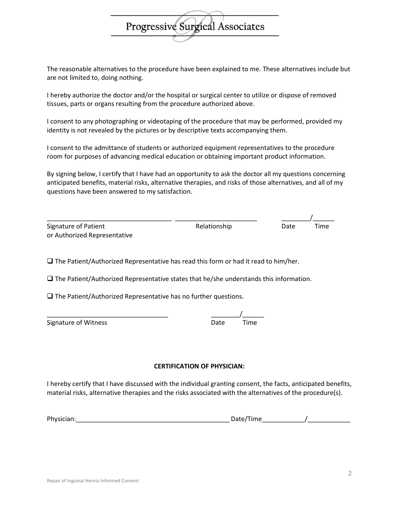The reasonable alternatives to the procedure have been explained to me. These alternatives include but are not limited to, doing nothing.

**Progressive Surgieal Associates** 

I hereby authorize the doctor and/or the hospital or surgical center to utilize or dispose of removed tissues, parts or organs resulting from the procedure authorized above.

I consent to any photographing or videotaping of the procedure that may be performed, provided my identity is not revealed by the pictures or by descriptive texts accompanying them.

I consent to the admittance of students or authorized equipment representatives to the procedure room for purposes of advancing medical education or obtaining important product information.

By signing below, I certify that I have had an opportunity to ask the doctor all my questions concerning anticipated benefits, material risks, alternative therapies, and risks of those alternatives, and all of my questions have been answered to my satisfaction.

| Signature of Patient         | Relationship | Date | Time |
|------------------------------|--------------|------|------|
| or Authorized Representative |              |      |      |

❑ The Patient/Authorized Representative has read this form or had it read to him/her.

❑ The Patient/Authorized Representative states that he/she understands this information.

❑ The Patient/Authorized Representative has no further questions.

| Signature of Witness | Date | Time |
|----------------------|------|------|
|                      |      |      |

\_\_\_\_\_\_\_\_\_\_\_\_\_\_\_\_\_\_\_\_\_\_\_\_\_\_\_\_\_\_\_\_\_\_ \_\_\_\_\_\_\_\_/\_\_\_\_\_\_

## **CERTIFICATION OF PHYSICIAN:**

I hereby certify that I have discussed with the individual granting consent, the facts, anticipated benefits, material risks, alternative therapies and the risks associated with the alternatives of the procedure(s).

| Physic<br>$\overline{a}$ | $\cdots$<br>ırne<br>_<br>$\sim$ |
|--------------------------|---------------------------------|
|                          |                                 |